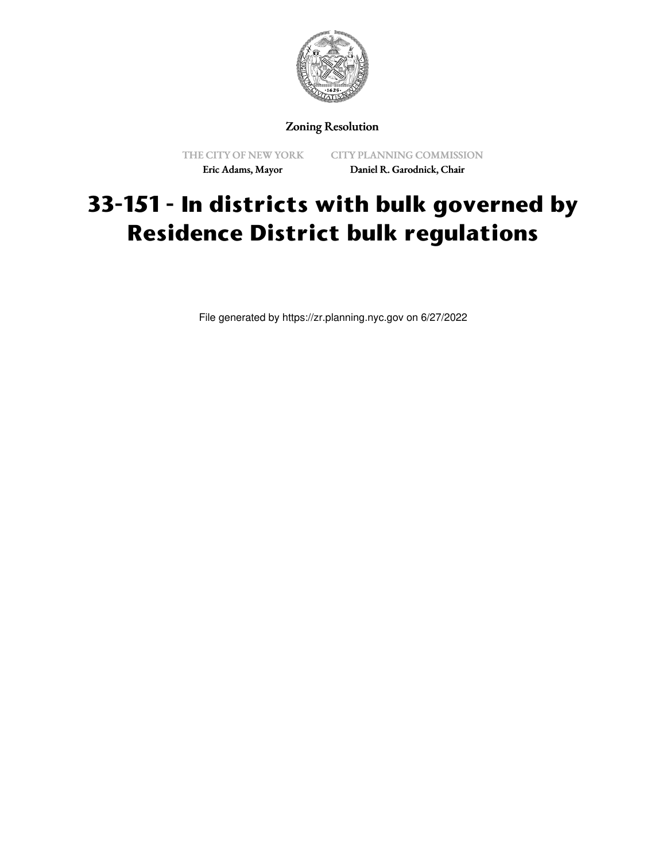

## Zoning Resolution

THE CITY OF NEW YORK Eric Adams, Mayor

CITY PLANNING COMMISSION Daniel R. Garodnick, Chair

# **33-151 - In districts with bulk governed by Residence District bulk regulations**

File generated by https://zr.planning.nyc.gov on 6/27/2022